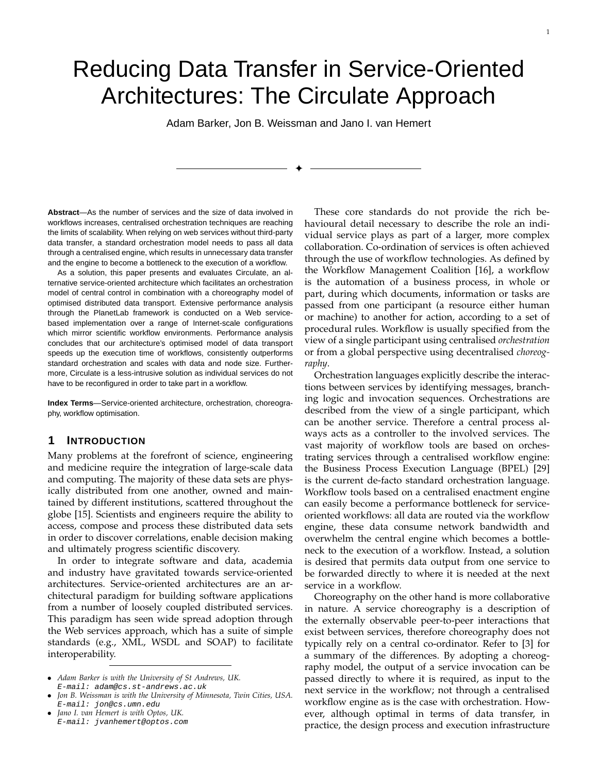# Reducing Data Transfer in Service-Oriented Architectures: The Circulate Approach

Adam Barker, Jon B. Weissman and Jano I. van Hemert

✦

**Abstract**—As the number of services and the size of data involved in workflows increases, centralised orchestration techniques are reaching the limits of scalability. When relying on web services without third-party data transfer, a standard orchestration model needs to pass all data through a centralised engine, which results in unnecessary data transfer and the engine to become a bottleneck to the execution of a workflow.

As a solution, this paper presents and evaluates Circulate, an alternative service-oriented architecture which facilitates an orchestration model of central control in combination with a choreography model of optimised distributed data transport. Extensive performance analysis through the PlanetLab framework is conducted on a Web servicebased implementation over a range of Internet-scale configurations which mirror scientific workflow environments. Performance analysis concludes that our architecture's optimised model of data transport speeds up the execution time of workflows, consistently outperforms standard orchestration and scales with data and node size. Furthermore, Circulate is a less-intrusive solution as individual services do not have to be reconfigured in order to take part in a workflow.

**Index Terms**—Service-oriented architecture, orchestration, choreography, workflow optimisation.

## **1 INTRODUCTION**

Many problems at the forefront of science, engineering and medicine require the integration of large-scale data and computing. The majority of these data sets are physically distributed from one another, owned and maintained by different institutions, scattered throughout the globe [15]. Scientists and engineers require the ability to access, compose and process these distributed data sets in order to discover correlations, enable decision making and ultimately progress scientific discovery.

In order to integrate software and data, academia and industry have gravitated towards service-oriented architectures. Service-oriented architectures are an architectural paradigm for building software applications from a number of loosely coupled distributed services. This paradigm has seen wide spread adoption through the Web services approach, which has a suite of simple standards (e.g., XML, WSDL and SOAP) to facilitate interoperability.

These core standards do not provide the rich behavioural detail necessary to describe the role an individual service plays as part of a larger, more complex collaboration. Co-ordination of services is often achieved through the use of workflow technologies. As defined by the Workflow Management Coalition [16], a workflow is the automation of a business process, in whole or part, during which documents, information or tasks are passed from one participant (a resource either human or machine) to another for action, according to a set of procedural rules. Workflow is usually specified from the view of a single participant using centralised *orchestration* or from a global perspective using decentralised *choreography*.

Orchestration languages explicitly describe the interactions between services by identifying messages, branching logic and invocation sequences. Orchestrations are described from the view of a single participant, which can be another service. Therefore a central process always acts as a controller to the involved services. The vast majority of workflow tools are based on orchestrating services through a centralised workflow engine: the Business Process Execution Language (BPEL) [29] is the current de-facto standard orchestration language. Workflow tools based on a centralised enactment engine can easily become a performance bottleneck for serviceoriented workflows: all data are routed via the workflow engine, these data consume network bandwidth and overwhelm the central engine which becomes a bottleneck to the execution of a workflow. Instead, a solution is desired that permits data output from one service to be forwarded directly to where it is needed at the next service in a workflow.

Choreography on the other hand is more collaborative in nature. A service choreography is a description of the externally observable peer-to-peer interactions that exist between services, therefore choreography does not typically rely on a central co-ordinator. Refer to [3] for a summary of the differences. By adopting a choreography model, the output of a service invocation can be passed directly to where it is required, as input to the next service in the workflow; not through a centralised workflow engine as is the case with orchestration. However, although optimal in terms of data transfer, in practice, the design process and execution infrastructure

<sup>•</sup> *Adam Barker is with the University of St Andrews, UK.* E-mail: adam@cs.st-andrews.ac.uk

<sup>•</sup> *Jon B. Weissman is with the University of Minnesota, Twin Cities, USA.* E-mail: jon@cs.umn.edu

<sup>•</sup> *Jano I. van Hemert is with Optos, UK.* E-mail: jvanhemert@optos.com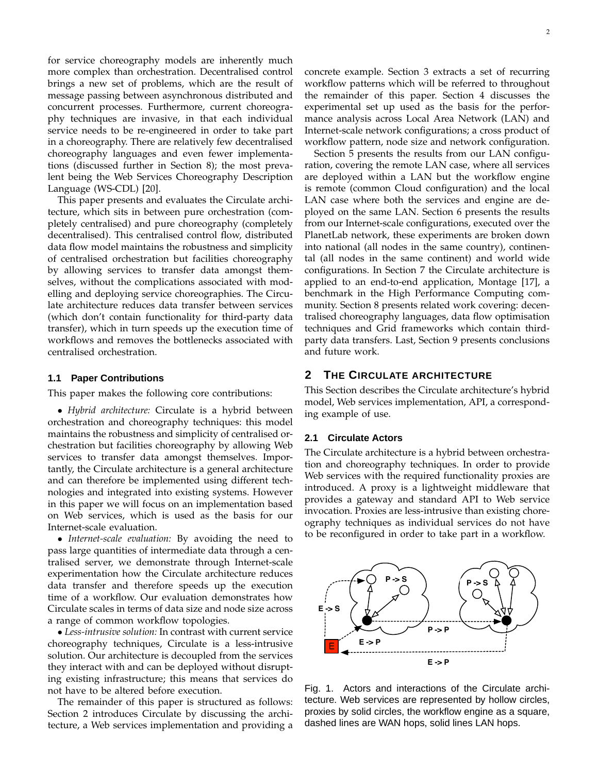for service choreography models are inherently much more complex than orchestration. Decentralised control brings a new set of problems, which are the result of message passing between asynchronous distributed and concurrent processes. Furthermore, current choreography techniques are invasive, in that each individual service needs to be re-engineered in order to take part in a choreography. There are relatively few decentralised choreography languages and even fewer implementations (discussed further in Section 8); the most prevalent being the Web Services Choreography Description Language (WS-CDL) [20].

This paper presents and evaluates the Circulate architecture, which sits in between pure orchestration (completely centralised) and pure choreography (completely decentralised). This centralised control flow, distributed data flow model maintains the robustness and simplicity of centralised orchestration but facilities choreography by allowing services to transfer data amongst themselves, without the complications associated with modelling and deploying service choreographies. The Circulate architecture reduces data transfer between services (which don't contain functionality for third-party data transfer), which in turn speeds up the execution time of workflows and removes the bottlenecks associated with centralised orchestration.

#### **1.1 Paper Contributions**

This paper makes the following core contributions:

• *Hybrid architecture:* Circulate is a hybrid between orchestration and choreography techniques: this model maintains the robustness and simplicity of centralised orchestration but facilities choreography by allowing Web services to transfer data amongst themselves. Importantly, the Circulate architecture is a general architecture and can therefore be implemented using different technologies and integrated into existing systems. However in this paper we will focus on an implementation based on Web services, which is used as the basis for our Internet-scale evaluation.

• *Internet-scale evaluation:* By avoiding the need to pass large quantities of intermediate data through a centralised server, we demonstrate through Internet-scale experimentation how the Circulate architecture reduces data transfer and therefore speeds up the execution time of a workflow. Our evaluation demonstrates how Circulate scales in terms of data size and node size across a range of common workflow topologies.

• *Less-intrusive solution:* In contrast with current service choreography techniques, Circulate is a less-intrusive solution. Our architecture is decoupled from the services they interact with and can be deployed without disrupting existing infrastructure; this means that services do not have to be altered before execution.

The remainder of this paper is structured as follows: Section 2 introduces Circulate by discussing the architecture, a Web services implementation and providing a concrete example. Section 3 extracts a set of recurring workflow patterns which will be referred to throughout the remainder of this paper. Section 4 discusses the experimental set up used as the basis for the performance analysis across Local Area Network (LAN) and Internet-scale network configurations; a cross product of workflow pattern, node size and network configuration.

Section 5 presents the results from our LAN configuration, covering the remote LAN case, where all services are deployed within a LAN but the workflow engine is remote (common Cloud configuration) and the local LAN case where both the services and engine are deployed on the same LAN. Section 6 presents the results from our Internet-scale configurations, executed over the PlanetLab network, these experiments are broken down into national (all nodes in the same country), continental (all nodes in the same continent) and world wide configurations. In Section 7 the Circulate architecture is applied to an end-to-end application, Montage [17], a benchmark in the High Performance Computing community. Section 8 presents related work covering: decentralised choreography languages, data flow optimisation techniques and Grid frameworks which contain thirdparty data transfers. Last, Section 9 presents conclusions and future work.

# **2 THE CIRCULATE ARCHITECTURE**

This Section describes the Circulate architecture's hybrid model, Web services implementation, API, a corresponding example of use.

#### **2.1 Circulate Actors**

The Circulate architecture is a hybrid between orchestration and choreography techniques. In order to provide Web services with the required functionality proxies are introduced. A proxy is a lightweight middleware that provides a gateway and standard API to Web service invocation. Proxies are less-intrusive than existing choreography techniques as individual services do not have to be reconfigured in order to take part in a workflow.



Fig. 1. Actors and interactions of the Circulate architecture. Web services are represented by hollow circles, proxies by solid circles, the workflow engine as a square, dashed lines are WAN hops, solid lines LAN hops.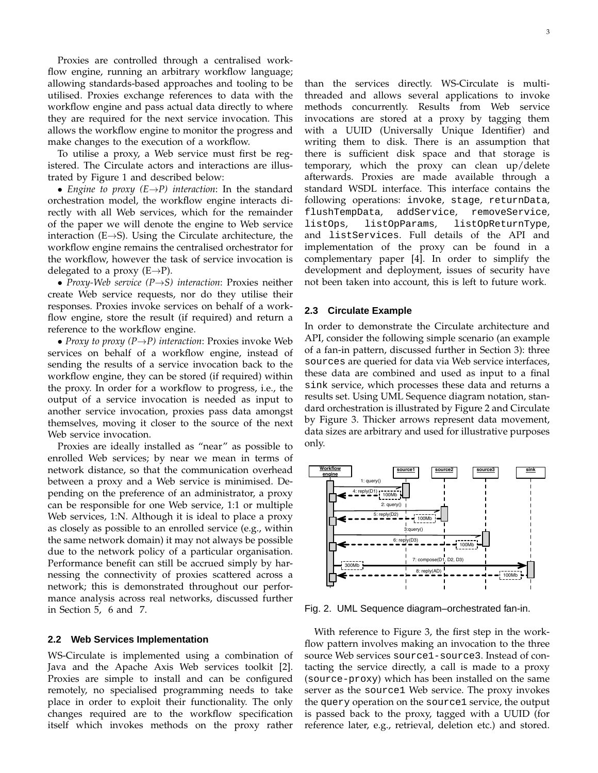Proxies are controlled through a centralised workflow engine, running an arbitrary workflow language; allowing standards-based approaches and tooling to be utilised. Proxies exchange references to data with the workflow engine and pass actual data directly to where they are required for the next service invocation. This allows the workflow engine to monitor the progress and make changes to the execution of a workflow.

To utilise a proxy, a Web service must first be registered. The Circulate actors and interactions are illustrated by Figure 1 and described below:

• *Engine to proxy (E*→*P) interaction*: In the standard orchestration model, the workflow engine interacts directly with all Web services, which for the remainder of the paper we will denote the engine to Web service interaction ( $E\rightarrow S$ ). Using the Circulate architecture, the workflow engine remains the centralised orchestrator for the workflow, however the task of service invocation is delegated to a proxy  $(E \rightarrow P)$ .

• *Proxy-Web service (P*→*S) interaction*: Proxies neither create Web service requests, nor do they utilise their responses. Proxies invoke services on behalf of a workflow engine, store the result (if required) and return a reference to the workflow engine.

• *Proxy to proxy (P*→*P) interaction*: Proxies invoke Web services on behalf of a workflow engine, instead of sending the results of a service invocation back to the workflow engine, they can be stored (if required) within the proxy. In order for a workflow to progress, i.e., the output of a service invocation is needed as input to another service invocation, proxies pass data amongst themselves, moving it closer to the source of the next Web service invocation.

Proxies are ideally installed as "near" as possible to enrolled Web services; by near we mean in terms of network distance, so that the communication overhead between a proxy and a Web service is minimised. Depending on the preference of an administrator, a proxy can be responsible for one Web service, 1:1 or multiple Web services, 1:N. Although it is ideal to place a proxy as closely as possible to an enrolled service (e.g., within the same network domain) it may not always be possible due to the network policy of a particular organisation. Performance benefit can still be accrued simply by harnessing the connectivity of proxies scattered across a network; this is demonstrated throughout our performance analysis across real networks, discussed further in Section 5, 6 and 7.

#### **2.2 Web Services Implementation**

WS-Circulate is implemented using a combination of Java and the Apache Axis Web services toolkit [2]. Proxies are simple to install and can be configured remotely, no specialised programming needs to take place in order to exploit their functionality. The only changes required are to the workflow specification itself which invokes methods on the proxy rather

than the services directly. WS-Circulate is multithreaded and allows several applications to invoke methods concurrently. Results from Web service invocations are stored at a proxy by tagging them with a UUID (Universally Unique Identifier) and writing them to disk. There is an assumption that there is sufficient disk space and that storage is temporary, which the proxy can clean up/delete afterwards. Proxies are made available through a standard WSDL interface. This interface contains the following operations: invoke, stage, returnData, flushTempData, addService, removeService, listOps, listOpParams, listOpReturnType, and listServices. Full details of the API and implementation of the proxy can be found in a complementary paper [4]. In order to simplify the development and deployment, issues of security have not been taken into account, this is left to future work.

#### **2.3 Circulate Example**

In order to demonstrate the Circulate architecture and API, consider the following simple scenario (an example of a fan-in pattern, discussed further in Section 3): three sources are queried for data via Web service interfaces, these data are combined and used as input to a final sink service, which processes these data and returns a results set. Using UML Sequence diagram notation, standard orchestration is illustrated by Figure 2 and Circulate by Figure 3. Thicker arrows represent data movement, data sizes are arbitrary and used for illustrative purposes only.



Fig. 2. UML Sequence diagram–orchestrated fan-in.

With reference to Figure 3, the first step in the workflow pattern involves making an invocation to the three source Web services source1-source3. Instead of contacting the service directly, a call is made to a proxy (source-proxy) which has been installed on the same server as the source1 Web service. The proxy invokes the query operation on the source1 service, the output is passed back to the proxy, tagged with a UUID (for reference later, e.g., retrieval, deletion etc.) and stored.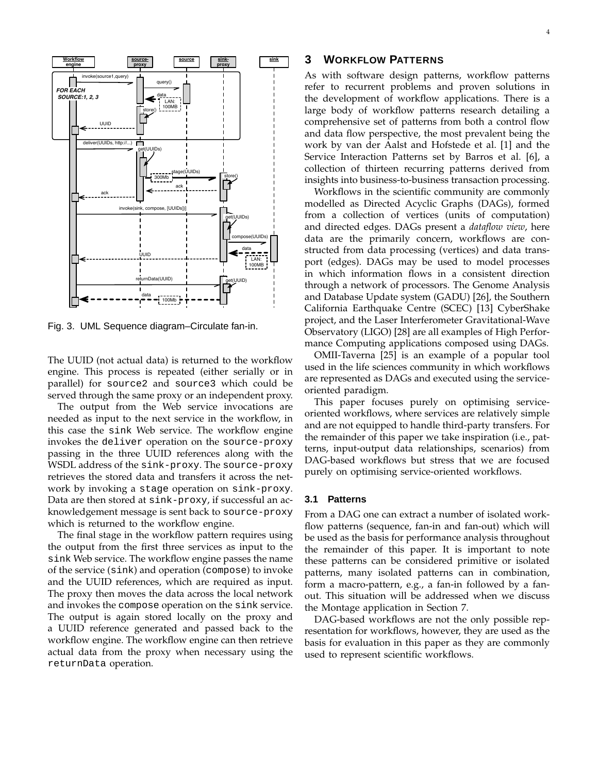

Fig. 3. UML Sequence diagram–Circulate fan-in.

The UUID (not actual data) is returned to the workflow engine. This process is repeated (either serially or in parallel) for source2 and source3 which could be served through the same proxy or an independent proxy.

The output from the Web service invocations are needed as input to the next service in the workflow, in this case the sink Web service. The workflow engine invokes the deliver operation on the source-proxy passing in the three UUID references along with the WSDL address of the sink-proxy. The source-proxy retrieves the stored data and transfers it across the network by invoking a stage operation on sink-proxy. Data are then stored at sink-proxy, if successful an acknowledgement message is sent back to source-proxy which is returned to the workflow engine.

The final stage in the workflow pattern requires using the output from the first three services as input to the sink Web service. The workflow engine passes the name of the service (sink) and operation (compose) to invoke and the UUID references, which are required as input. The proxy then moves the data across the local network and invokes the compose operation on the sink service. The output is again stored locally on the proxy and a UUID reference generated and passed back to the workflow engine. The workflow engine can then retrieve actual data from the proxy when necessary using the returnData operation.

# **3 WORKFLOW PATTERNS**

As with software design patterns, workflow patterns refer to recurrent problems and proven solutions in the development of workflow applications. There is a large body of workflow patterns research detailing a comprehensive set of patterns from both a control flow and data flow perspective, the most prevalent being the work by van der Aalst and Hofstede et al. [1] and the Service Interaction Patterns set by Barros et al. [6], a collection of thirteen recurring patterns derived from insights into business-to-business transaction processing.

Workflows in the scientific community are commonly modelled as Directed Acyclic Graphs (DAGs), formed from a collection of vertices (units of computation) and directed edges. DAGs present a *dataflow view*, here data are the primarily concern, workflows are constructed from data processing (vertices) and data transport (edges). DAGs may be used to model processes in which information flows in a consistent direction through a network of processors. The Genome Analysis and Database Update system (GADU) [26], the Southern California Earthquake Centre (SCEC) [13] CyberShake project, and the Laser Interferometer Gravitational-Wave Observatory (LIGO) [28] are all examples of High Performance Computing applications composed using DAGs.

OMII-Taverna [25] is an example of a popular tool used in the life sciences community in which workflows are represented as DAGs and executed using the serviceoriented paradigm.

This paper focuses purely on optimising serviceoriented workflows, where services are relatively simple and are not equipped to handle third-party transfers. For the remainder of this paper we take inspiration (i.e., patterns, input-output data relationships, scenarios) from DAG-based workflows but stress that we are focused purely on optimising service-oriented workflows.

## **3.1 Patterns**

From a DAG one can extract a number of isolated workflow patterns (sequence, fan-in and fan-out) which will be used as the basis for performance analysis throughout the remainder of this paper. It is important to note these patterns can be considered primitive or isolated patterns, many isolated patterns can in combination, form a macro-pattern, e.g., a fan-in followed by a fanout. This situation will be addressed when we discuss the Montage application in Section 7.

DAG-based workflows are not the only possible representation for workflows, however, they are used as the basis for evaluation in this paper as they are commonly used to represent scientific workflows.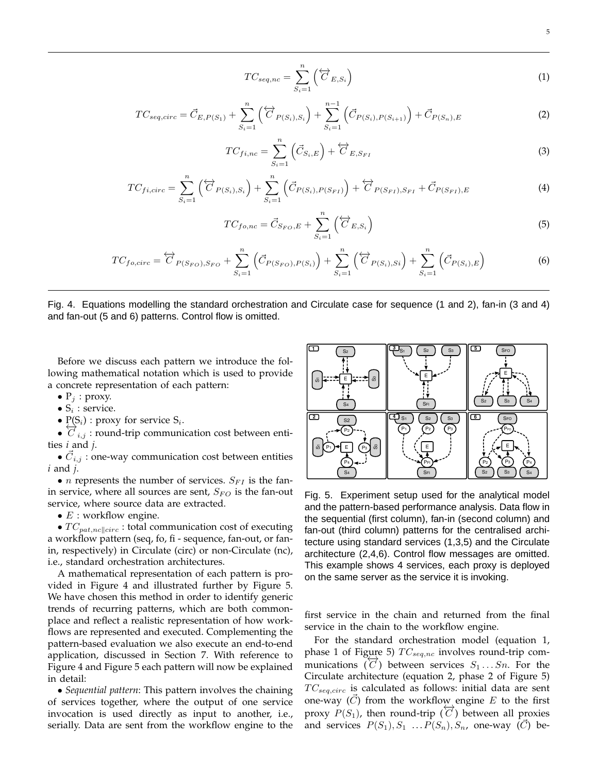$$
TC_{seq, nc} = \sum_{S_i=1}^{n} \left( \overleftrightarrow{C}_{E, S_i} \right)
$$
 (1)

$$
TC_{seq,circ} = \vec{C}_{E,P(S_1)} + \sum_{S_i=1}^{n} \left( \overleftrightarrow{C}_{P(S_i),S_i} \right) + \sum_{S_i=1}^{n-1} \left( \vec{C}_{P(S_i),P(S_{i+1})} \right) + \vec{C}_{P(S_n),E}
$$
(2)

$$
TC_{fi,nc} = \sum_{S_i=1}^{n} (\vec{C}_{S_i,E}) + \overleftrightarrow{C}_{E,S_{FI}}
$$
\n(3)

$$
TC_{fi,circ} = \sum_{S_i=1}^{n} (\overleftrightarrow{C}_{P(S_i),S_i}) + \sum_{S_i=1}^{n} (\overrightarrow{C}_{P(S_i),P(S_{FI})}) + \overleftrightarrow{C}_{P(S_{FI}),S_{FI}} + \overrightarrow{C}_{P(S_{FI}),E}
$$
(4)

$$
TC_{fo,nc} = \vec{C}_{S_{FO},E} + \sum_{S_i=1}^{n} \left( \overleftrightarrow{C}_{E,S_i} \right)
$$
\n
$$
(5)
$$

$$
TC_{fo,circ} = \overleftrightarrow{C}_{P(S_{FO}),S_{FO}} + \sum_{S_i=1}^{n} (\overrightarrow{C}_{P(S_{FO}),P(S_i)}) + \sum_{S_i=1}^{n} (\overleftrightarrow{C}_{P(S_i),S_i}) + \sum_{S_i=1}^{n} (\overrightarrow{C}_{P(S_i),E})
$$
(6)

Fig. 4. Equations modelling the standard orchestration and Circulate case for sequence (1 and 2), fan-in (3 and 4) and fan-out (5 and 6) patterns. Control flow is omitted.

Before we discuss each pattern we introduce the following mathematical notation which is used to provide a concrete representation of each pattern:

- $P_j$ : proxy.
- $\bullet$  S<sub>i</sub>: service.
- $P(S_i)$ : proxy for service  $S_i$ .

•  $\sum_{i,j}$  : proxy for service  $S_i$ .<br>•  $\overleftrightarrow{C}_{i,j}$  : round-trip communication cost between entities *i* and *j*.

•  $\vec{C}_{i,j}$  : one-way communication cost between entities *i* and *j*.

• *n* represents the number of services.  $S_{FI}$  is the fanin service, where all sources are sent,  $S_{FO}$  is the fan-out service, where source data are extracted.

•  $E$  : workflow engine.

•  $TC_{pat,nc||circ}$ : total communication cost of executing a workflow pattern (seq, fo, fi - sequence, fan-out, or fanin, respectively) in Circulate (circ) or non-Circulate (nc), i.e., standard orchestration architectures.

A mathematical representation of each pattern is provided in Figure 4 and illustrated further by Figure 5. We have chosen this method in order to identify generic trends of recurring patterns, which are both commonplace and reflect a realistic representation of how workflows are represented and executed. Complementing the pattern-based evaluation we also execute an end-to-end application, discussed in Section 7. With reference to Figure 4 and Figure 5 each pattern will now be explained in detail:

• *Sequential pattern*: This pattern involves the chaining of services together, where the output of one service invocation is used directly as input to another, i.e., serially. Data are sent from the workflow engine to the



Fig. 5. Experiment setup used for the analytical model and the pattern-based performance analysis. Data flow in the sequential (first column), fan-in (second column) and fan-out (third column) patterns for the centralised architecture using standard services (1,3,5) and the Circulate architecture (2,4,6). Control flow messages are omitted. This example shows 4 services, each proxy is deployed on the same server as the service it is invoking.

first service in the chain and returned from the final service in the chain to the workflow engine.

For the standard orchestration model (equation 1, phase 1 of Figure 5)  $TC_{seq,nc}$  involves round-trip communications ( $\check{C}$ ) between services  $S_1 \dots S_n$ . For the Circulate architecture (equation 2, phase 2 of Figure 5)  $TC_{seq,circ}$  is calculated as follows: initial data are sent one-way  $(\vec{C})$  from the workflow engine E to the first proxy  $P(S_1)$ , then round-trip ( $\check{C}$ ) between all proxies and services  $P(S_1), S_1, \ldots, P(S_n), S_n$ , one-way ( $\vec{C}$ ) be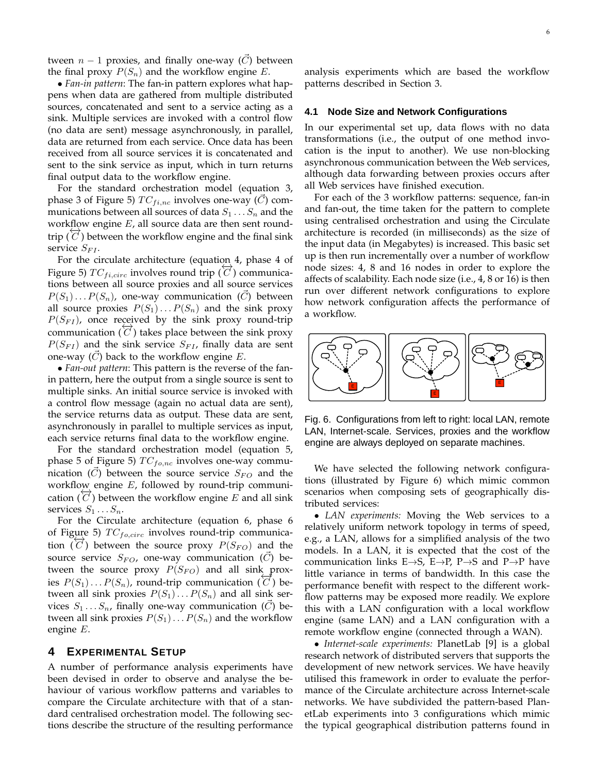tween  $n-1$  proxies, and finally one-way (C) between the final proxy  $P(S_n)$  and the workflow engine E.

• *Fan-in pattern*: The fan-in pattern explores what happens when data are gathered from multiple distributed sources, concatenated and sent to a service acting as a sink. Multiple services are invoked with a control flow (no data are sent) message asynchronously, in parallel, data are returned from each service. Once data has been received from all source services it is concatenated and sent to the sink service as input, which in turn returns final output data to the workflow engine.

For the standard orchestration model (equation 3, phase 3 of Figure 5)  $TC_{fi,nc}$  involves one-way (C) communications between all sources of data  $S_1 \ldots S_n$  and the workflow engine  $E$ , all source data are then sent roundtrip  $(\check{C})$  between the workflow engine and the final sink service  $S_{FI}$ .

For the circulate architecture (equation 4, phase 4 of Figure 5)  $TC_{fi,circ}$  involves round trip ( $\check{C}$ ) communications between all source proxies and all source services  $P(S_1) \dots P(S_n)$ , one-way communication ( $\vec{C}$ ) between all source proxies  $P(S_1) \dots P(S_n)$  and the sink proxy  $P(S_{FI})$ , once received by the sink proxy round-trip communication ( $\hat{C}$ ) takes place between the sink proxy  $P(S_{FI})$  and the sink service  $S_{FI}$ , finally data are sent one-way  $(\vec{C})$  back to the workflow engine E.

• *Fan-out pattern*: This pattern is the reverse of the fanin pattern, here the output from a single source is sent to multiple sinks. An initial source service is invoked with a control flow message (again no actual data are sent), the service returns data as output. These data are sent, asynchronously in parallel to multiple services as input, each service returns final data to the workflow engine.

For the standard orchestration model (equation 5, phase 5 of Figure 5)  $TC_{fo,nc}$  involves one-way communication (C) between the source service  $S_{FO}$  and the workflow engine  $E$ , followed by round-trip communication ( $\hat{C}$ ) between the workflow engine E and all sink services  $S_1 \ldots S_n$ .

For the Circulate architecture (equation 6, phase 6 of Figure 5)  $TC_{fo,circ}$  involves round-trip communication ( $\check{C}$ ) between the source proxy  $P(S_{FO})$  and the source service  $S_{FO}$ , one-way communication ( $\vec{C}$ ) between the source proxy  $P(S_{FO})$  and all sink proxies  $P(S_1) \dots P(S_n)$ , round-trip communication ( ${}^{\circ}C$ ) between all sink proxies  $P(S_1) \dots P(S_n)$  and all sink services  $S_1 \ldots S_n$ , finally one-way communication ( $\vec{C}$ ) between all sink proxies  $P(S_1) \dots P(S_n)$  and the workflow engine E.

## **4 EXPERIMENTAL SETUP**

A number of performance analysis experiments have been devised in order to observe and analyse the behaviour of various workflow patterns and variables to compare the Circulate architecture with that of a standard centralised orchestration model. The following sections describe the structure of the resulting performance

analysis experiments which are based the workflow patterns described in Section 3.

#### **4.1 Node Size and Network Configurations**

In our experimental set up, data flows with no data transformations (i.e., the output of one method invocation is the input to another). We use non-blocking asynchronous communication between the Web services, although data forwarding between proxies occurs after all Web services have finished execution.

For each of the 3 workflow patterns: sequence, fan-in and fan-out, the time taken for the pattern to complete using centralised orchestration and using the Circulate architecture is recorded (in milliseconds) as the size of the input data (in Megabytes) is increased. This basic set up is then run incrementally over a number of workflow node sizes: 4, 8 and 16 nodes in order to explore the affects of scalability. Each node size (i.e., 4, 8 or 16) is then run over different network configurations to explore how network configuration affects the performance of a workflow.



Fig. 6. Configurations from left to right: local LAN, remote LAN, Internet-scale. Services, proxies and the workflow engine are always deployed on separate machines.

We have selected the following network configurations (illustrated by Figure 6) which mimic common scenarios when composing sets of geographically distributed services:

• *LAN experiments:* Moving the Web services to a relatively uniform network topology in terms of speed, e.g., a LAN, allows for a simplified analysis of the two models. In a LAN, it is expected that the cost of the communication links E→S, E→P, P→S and P→P have little variance in terms of bandwidth. In this case the performance benefit with respect to the different workflow patterns may be exposed more readily. We explore this with a LAN configuration with a local workflow engine (same LAN) and a LAN configuration with a remote workflow engine (connected through a WAN).

• *Internet-scale experiments:* PlanetLab [9] is a global research network of distributed servers that supports the development of new network services. We have heavily utilised this framework in order to evaluate the performance of the Circulate architecture across Internet-scale networks. We have subdivided the pattern-based PlanetLab experiments into 3 configurations which mimic the typical geographical distribution patterns found in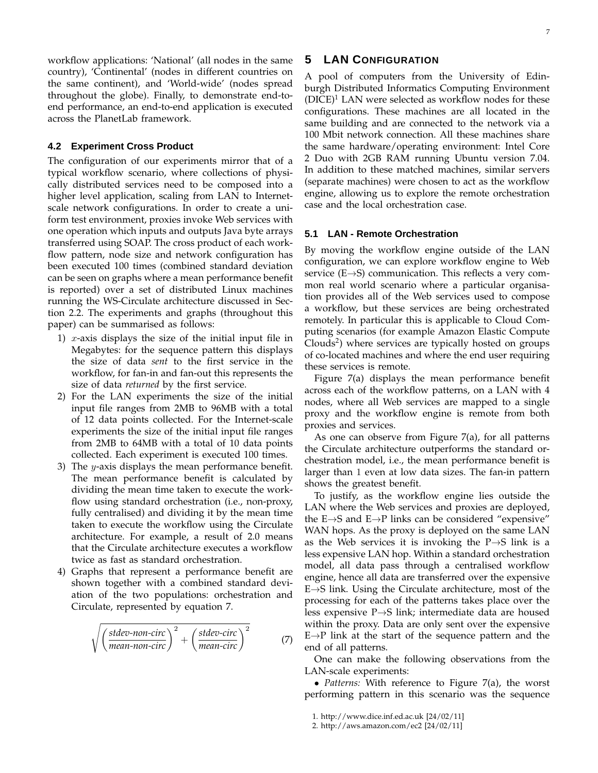workflow applications: 'National' (all nodes in the same country), 'Continental' (nodes in different countries on the same continent), and 'World-wide' (nodes spread throughout the globe). Finally, to demonstrate end-toend performance, an end-to-end application is executed across the PlanetLab framework.

#### **4.2 Experiment Cross Product**

The configuration of our experiments mirror that of a typical workflow scenario, where collections of physically distributed services need to be composed into a higher level application, scaling from LAN to Internetscale network configurations. In order to create a uniform test environment, proxies invoke Web services with one operation which inputs and outputs Java byte arrays transferred using SOAP. The cross product of each workflow pattern, node size and network configuration has been executed 100 times (combined standard deviation can be seen on graphs where a mean performance benefit is reported) over a set of distributed Linux machines running the WS-Circulate architecture discussed in Section 2.2. The experiments and graphs (throughout this paper) can be summarised as follows:

- 1)  $x$ -axis displays the size of the initial input file in Megabytes: for the sequence pattern this displays the size of data *sent* to the first service in the workflow, for fan-in and fan-out this represents the size of data *returned* by the first service.
- 2) For the LAN experiments the size of the initial input file ranges from 2MB to 96MB with a total of 12 data points collected. For the Internet-scale experiments the size of the initial input file ranges from 2MB to 64MB with a total of 10 data points collected. Each experiment is executed 100 times.
- 3) The  $y$ -axis displays the mean performance benefit. The mean performance benefit is calculated by dividing the mean time taken to execute the workflow using standard orchestration (i.e., non-proxy, fully centralised) and dividing it by the mean time taken to execute the workflow using the Circulate architecture. For example, a result of 2.0 means that the Circulate architecture executes a workflow twice as fast as standard orchestration.
- 4) Graphs that represent a performance benefit are shown together with a combined standard deviation of the two populations: orchestration and Circulate, represented by equation 7.

$$
\sqrt{\left(\frac{\text{stdev-non-circ}}{\text{mean-non-circ}}\right)^2 + \left(\frac{\text{stdev-circ}}{\text{mean-circ}}\right)^2} \tag{7}
$$

# **5 LAN CONFIGURATION**

A pool of computers from the University of Edinburgh Distributed Informatics Computing Environment  $(DICE)^1$  LAN were selected as workflow nodes for these configurations. These machines are all located in the same building and are connected to the network via a 100 Mbit network connection. All these machines share the same hardware/operating environment: Intel Core 2 Duo with 2GB RAM running Ubuntu version 7.04. In addition to these matched machines, similar servers (separate machines) were chosen to act as the workflow engine, allowing us to explore the remote orchestration case and the local orchestration case.

#### **5.1 LAN - Remote Orchestration**

By moving the workflow engine outside of the LAN configuration, we can explore workflow engine to Web service  $(E \rightarrow S)$  communication. This reflects a very common real world scenario where a particular organisation provides all of the Web services used to compose a workflow, but these services are being orchestrated remotely. In particular this is applicable to Cloud Computing scenarios (for example Amazon Elastic Compute Clouds<sup>2</sup>) where services are typically hosted on groups of co-located machines and where the end user requiring these services is remote.

Figure 7(a) displays the mean performance benefit across each of the workflow patterns, on a LAN with 4 nodes, where all Web services are mapped to a single proxy and the workflow engine is remote from both proxies and services.

As one can observe from Figure 7(a), for all patterns the Circulate architecture outperforms the standard orchestration model, i.e., the mean performance benefit is larger than 1 even at low data sizes. The fan-in pattern shows the greatest benefit.

To justify, as the workflow engine lies outside the LAN where the Web services and proxies are deployed, the E→S and E→P links can be considered "expensive" WAN hops. As the proxy is deployed on the same LAN as the Web services it is invoking the  $P\rightarrow S$  link is a less expensive LAN hop. Within a standard orchestration model, all data pass through a centralised workflow engine, hence all data are transferred over the expensive  $E \rightarrow S$  link. Using the Circulate architecture, most of the processing for each of the patterns takes place over the less expensive P→S link; intermediate data are housed within the proxy. Data are only sent over the expensive  $E \rightarrow P$  link at the start of the sequence pattern and the end of all patterns.

One can make the following observations from the LAN-scale experiments:

• *Patterns:* With reference to Figure 7(a), the worst performing pattern in this scenario was the sequence

1. http://www.dice.inf.ed.ac.uk [24/02/11]

<sup>2.</sup> http://aws.amazon.com/ec2 [24/02/11]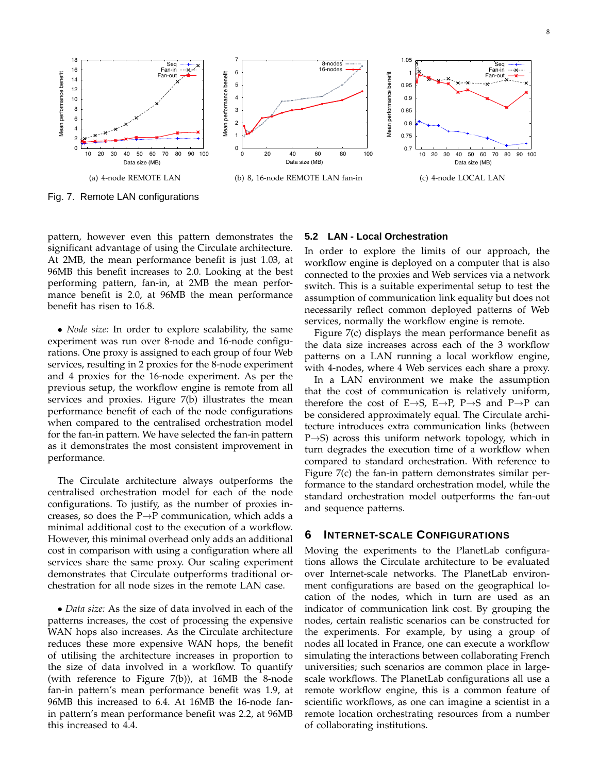

Fig. 7. Remote LAN configurations

pattern, however even this pattern demonstrates the significant advantage of using the Circulate architecture. At 2MB, the mean performance benefit is just 1.03, at 96MB this benefit increases to 2.0. Looking at the best performing pattern, fan-in, at 2MB the mean performance benefit is 2.0, at 96MB the mean performance benefit has risen to 16.8.

• *Node size:* In order to explore scalability, the same experiment was run over 8-node and 16-node configurations. One proxy is assigned to each group of four Web services, resulting in 2 proxies for the 8-node experiment and 4 proxies for the 16-node experiment. As per the previous setup, the workflow engine is remote from all services and proxies. Figure 7(b) illustrates the mean performance benefit of each of the node configurations when compared to the centralised orchestration model for the fan-in pattern. We have selected the fan-in pattern as it demonstrates the most consistent improvement in performance.

The Circulate architecture always outperforms the centralised orchestration model for each of the node configurations. To justify, as the number of proxies increases, so does the  $P \rightarrow P$  communication, which adds a minimal additional cost to the execution of a workflow. However, this minimal overhead only adds an additional cost in comparison with using a configuration where all services share the same proxy. Our scaling experiment demonstrates that Circulate outperforms traditional orchestration for all node sizes in the remote LAN case.

• *Data size:* As the size of data involved in each of the patterns increases, the cost of processing the expensive WAN hops also increases. As the Circulate architecture reduces these more expensive WAN hops, the benefit of utilising the architecture increases in proportion to the size of data involved in a workflow. To quantify (with reference to Figure 7(b)), at 16MB the 8-node fan-in pattern's mean performance benefit was 1.9, at 96MB this increased to 6.4. At 16MB the 16-node fanin pattern's mean performance benefit was 2.2, at 96MB this increased to 4.4.

## **5.2 LAN - Local Orchestration**

In order to explore the limits of our approach, the workflow engine is deployed on a computer that is also connected to the proxies and Web services via a network switch. This is a suitable experimental setup to test the assumption of communication link equality but does not necessarily reflect common deployed patterns of Web services, normally the workflow engine is remote.

Figure 7(c) displays the mean performance benefit as the data size increases across each of the 3 workflow patterns on a LAN running a local workflow engine, with 4-nodes, where 4 Web services each share a proxy.

In a LAN environment we make the assumption that the cost of communication is relatively uniform, therefore the cost of E $\rightarrow$ S, E $\rightarrow$ P, P $\rightarrow$ S and P $\rightarrow$ P can be considered approximately equal. The Circulate architecture introduces extra communication links (between  $P\rightarrow S$ ) across this uniform network topology, which in turn degrades the execution time of a workflow when compared to standard orchestration. With reference to Figure 7(c) the fan-in pattern demonstrates similar performance to the standard orchestration model, while the standard orchestration model outperforms the fan-out and sequence patterns.

#### **6 INTERNET-SCALE CONFIGURATIONS**

Moving the experiments to the PlanetLab configurations allows the Circulate architecture to be evaluated over Internet-scale networks. The PlanetLab environment configurations are based on the geographical location of the nodes, which in turn are used as an indicator of communication link cost. By grouping the nodes, certain realistic scenarios can be constructed for the experiments. For example, by using a group of nodes all located in France, one can execute a workflow simulating the interactions between collaborating French universities; such scenarios are common place in largescale workflows. The PlanetLab configurations all use a remote workflow engine, this is a common feature of scientific workflows, as one can imagine a scientist in a remote location orchestrating resources from a number of collaborating institutions.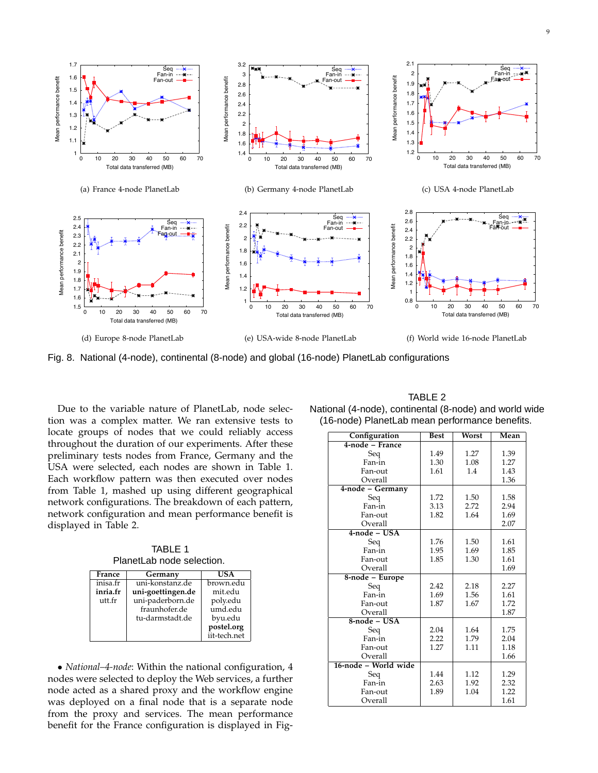

Fig. 8. National (4-node), continental (8-node) and global (16-node) PlanetLab configurations

Due to the variable nature of PlanetLab, node selection was a complex matter. We ran extensive tests to locate groups of nodes that we could reliably access throughout the duration of our experiments. After these preliminary tests nodes from France, Germany and the USA were selected, each nodes are shown in Table 1. Each workflow pattern was then executed over nodes from Table 1, mashed up using different geographical network configurations. The breakdown of each pattern, network configuration and mean performance benefit is displayed in Table 2.

TABLE 1 PlanetLab node selection.

| France   | Germany           | USA          |  |
|----------|-------------------|--------------|--|
| inisa.fr | uni-konstanz.de   | brown.edu    |  |
| inria.fr | uni-goettingen.de | mit.edu      |  |
| utt.fr   | uni-paderborn.de  | poly.edu     |  |
|          | fraunhofer.de     | umd.edu      |  |
|          | tu-darmstadt.de   | byu.edu      |  |
|          |                   | postel.org   |  |
|          |                   | iit-tech.net |  |

• *National–4-node*: Within the national configuration, 4 nodes were selected to deploy the Web services, a further node acted as a shared proxy and the workflow engine was deployed on a final node that is a separate node from the proxy and services. The mean performance benefit for the France configuration is displayed in Fig-

TABLE 2 National (4-node), continental (8-node) and world wide (16-node) PlanetLab mean performance benefits.

| Configuration        | <b>Best</b> | Worst | Mean |
|----------------------|-------------|-------|------|
| 4-node - France      |             |       |      |
| Seq                  | 1.49        | 1.27  | 1.39 |
| Fan-in               | 1.30        | 1.08  | 1.27 |
| Fan-out              | 1.61        | 1.4   | 1.43 |
| Overall              |             |       | 1.36 |
| 4-node - Germany     |             |       |      |
| Seq                  | 1.72        | 1.50  | 1.58 |
| Fan-in               | 3.13        | 2.72  | 2.94 |
| Fan-out              | 1.82        | 1.64  | 1.69 |
| Overall              |             |       | 2.07 |
| 4-node - USA         |             |       |      |
| Seq                  | 1.76        | 1.50  | 1.61 |
| Fan-in               | 1.95        | 1.69  | 1.85 |
| Fan-out              | 1.85        | 1.30  | 1.61 |
| Overall              |             |       | 1.69 |
| 8-node - Europe      |             |       |      |
| Seq                  | 2.42        | 2.18  | 2.27 |
| Fan-in               | 1.69        | 1.56  | 1.61 |
| Fan-out              | 1.87        | 1.67  | 1.72 |
| Overall              |             |       | 1.87 |
| 8-node - USA         |             |       |      |
| Seq                  | 2.04        | 1.64  | 1.75 |
| Fan-in               | 2.22        | 1.79  | 2.04 |
| Fan-out              | 1.27        | 1.11  | 1.18 |
| Overall              |             |       | 1.66 |
| 16-node - World wide |             |       |      |
| Seq                  | 1.44        | 1.12  | 1.29 |
| Fan-in               | 2.63        | 1.92  | 2.32 |
| Fan-out              | 1.89        | 1.04  | 1.22 |
| Overall              |             |       | 1.61 |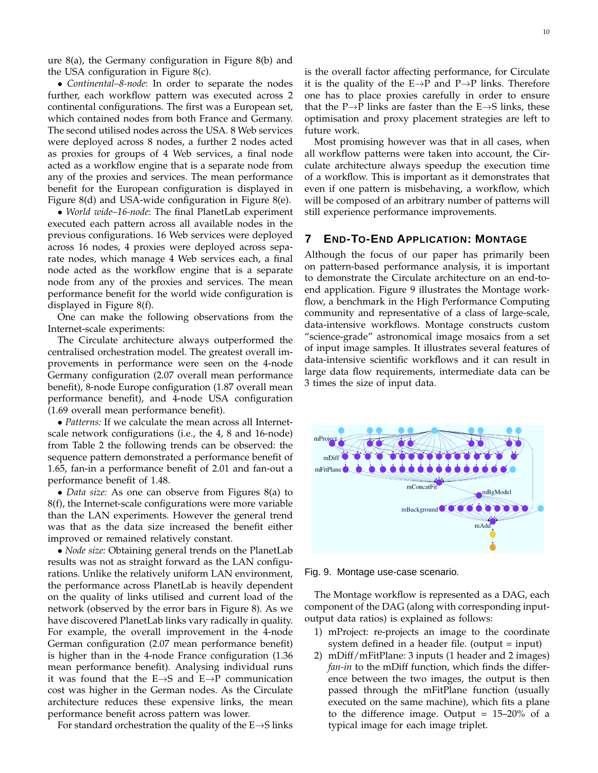ure 8(a), the Germany configuration in Figure 8(b) and the USA configuration in Figure 8(c).

• *Continental–8-node*: In order to separate the nodes further, each workflow pattern was executed across 2 continental configurations. The first was a European set, which contained nodes from both France and Germany. The second utilised nodes across the USA. 8 Web services were deployed across 8 nodes, a further 2 nodes acted as proxies for groups of 4 Web services, a final node acted as a workflow engine that is a separate node from any of the proxies and services. The mean performance benefit for the European configuration is displayed in Figure 8(d) and USA-wide configuration in Figure 8(e).

• *World wide–16-node*: The final PlanetLab experiment executed each pattern across all available nodes in the previous configurations. 16 Web services were deployed across 16 nodes, 4 proxies were deployed across separate nodes, which manage 4 Web services each, a final node acted as the workflow engine that is a separate node from any of the proxies and services. The mean performance benefit for the world wide configuration is displayed in Figure 8(f).

One can make the following observations from the Internet-scale experiments:

The Circulate architecture always outperformed the centralised orchestration model. The greatest overall improvements in performance were seen on the 4-node Germany configuration (2.07 overall mean performance benefit), 8-node Europe configuration (1.87 overall mean performance benefit), and 4-node USA configuration (1.69 overall mean performance benefit).

• *Patterns:* If we calculate the mean across all Internetscale network configurations (i.e., the 4, 8 and 16-node) from Table 2 the following trends can be observed: the sequence pattern demonstrated a performance benefit of 1.65, fan-in a performance benefit of 2.01 and fan-out a performance benefit of 1.48.

• *Data size:* As one can observe from Figures 8(a) to 8(f), the Internet-scale configurations were more variable than the LAN experiments. However the general trend was that as the data size increased the benefit either improved or remained relatively constant.

• *Node size:* Obtaining general trends on the PlanetLab results was not as straight forward as the LAN configurations. Unlike the relatively uniform LAN environment, the performance across PlanetLab is heavily dependent on the quality of links utilised and current load of the network (observed by the error bars in Figure 8). As we have discovered PlanetLab links vary radically in quality. For example, the overall improvement in the 4-node German configuration (2.07 mean performance benefit) is higher than in the 4-node France configuration (1.36 mean performance benefit). Analysing individual runs it was found that the  $E \rightarrow S$  and  $E \rightarrow P$  communication cost was higher in the German nodes. As the Circulate architecture reduces these expensive links, the mean performance benefit across pattern was lower.

For standard orchestration the quality of the  $E\rightarrow S$  links

is the overall factor affecting performance, for Circulate it is the quality of the  $E \rightarrow P$  and  $P \rightarrow P$  links. Therefore one has to place proxies carefully in order to ensure that the  $P\rightarrow P$  links are faster than the E $\rightarrow$ S links, these optimisation and proxy placement strategies are left to future work.

Most promising however was that in all cases, when all workflow patterns were taken into account, the Circulate architecture always speedup the execution time of a workflow. This is important as it demonstrates that even if one pattern is misbehaving, a workflow, which will be composed of an arbitrary number of patterns will still experience performance improvements.

## **7 END-TO-END APPLICATION: MONTAGE**

Although the focus of our paper has primarily been on pattern-based performance analysis, it is important to demonstrate the Circulate architecture on an end-toend application. Figure 9 illustrates the Montage workflow, a benchmark in the High Performance Computing community and representative of a class of large-scale, data-intensive workflows. Montage constructs custom "science-grade" astronomical image mosaics from a set of input image samples. It illustrates several features of data-intensive scientific workflows and it can result in large data flow requirements, intermediate data can be 3 times the size of input data.



Fig. 9. Montage use-case scenario.

The Montage workflow is represented as a DAG, each component of the DAG (along with corresponding inputoutput data ratios) is explained as follows:

- 1) mProject: re-projects an image to the coordinate system defined in a header file. (output = input)
- 2) mDiff/mFitPlane: 3 inputs (1 header and 2 images) *fan-in* to the mDiff function, which finds the difference between the two images, the output is then passed through the mFitPlane function (usually executed on the same machine), which fits a plane to the difference image. Output = 15–20% of a typical image for each image triplet.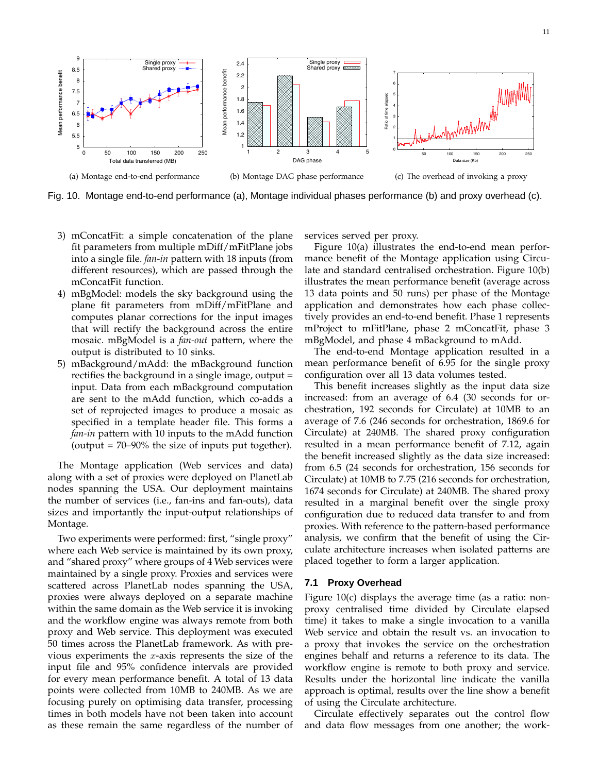

Fig. 10. Montage end-to-end performance (a), Montage individual phases performance (b) and proxy overhead (c).

- 3) mConcatFit: a simple concatenation of the plane fit parameters from multiple mDiff/mFitPlane jobs into a single file. *fan-in* pattern with 18 inputs (from different resources), which are passed through the mConcatFit function.
- 4) mBgModel: models the sky background using the plane fit parameters from mDiff/mFitPlane and computes planar corrections for the input images that will rectify the background across the entire mosaic. mBgModel is a *fan-out* pattern, where the output is distributed to 10 sinks.
- 5) mBackground/mAdd: the mBackground function rectifies the background in a single image, output = input. Data from each mBackground computation are sent to the mAdd function, which co-adds a set of reprojected images to produce a mosaic as specified in a template header file. This forms a *fan-in* pattern with 10 inputs to the mAdd function (output = 70–90% the size of inputs put together).

The Montage application (Web services and data) along with a set of proxies were deployed on PlanetLab nodes spanning the USA. Our deployment maintains the number of services (i.e., fan-ins and fan-outs), data sizes and importantly the input-output relationships of Montage.

Two experiments were performed: first, "single proxy" where each Web service is maintained by its own proxy, and "shared proxy" where groups of 4 Web services were maintained by a single proxy. Proxies and services were scattered across PlanetLab nodes spanning the USA, proxies were always deployed on a separate machine within the same domain as the Web service it is invoking and the workflow engine was always remote from both proxy and Web service. This deployment was executed 50 times across the PlanetLab framework. As with previous experiments the  $x$ -axis represents the size of the input file and 95% confidence intervals are provided for every mean performance benefit. A total of 13 data points were collected from 10MB to 240MB. As we are focusing purely on optimising data transfer, processing times in both models have not been taken into account as these remain the same regardless of the number of services served per proxy.

Figure 10(a) illustrates the end-to-end mean performance benefit of the Montage application using Circulate and standard centralised orchestration. Figure 10(b) illustrates the mean performance benefit (average across 13 data points and 50 runs) per phase of the Montage application and demonstrates how each phase collectively provides an end-to-end benefit. Phase 1 represents mProject to mFitPlane, phase 2 mConcatFit, phase 3 mBgModel, and phase 4 mBackground to mAdd.

The end-to-end Montage application resulted in a mean performance benefit of 6.95 for the single proxy configuration over all 13 data volumes tested.

This benefit increases slightly as the input data size increased: from an average of 6.4 (30 seconds for orchestration, 192 seconds for Circulate) at 10MB to an average of 7.6 (246 seconds for orchestration, 1869.6 for Circulate) at 240MB. The shared proxy configuration resulted in a mean performance benefit of 7.12, again the benefit increased slightly as the data size increased: from 6.5 (24 seconds for orchestration, 156 seconds for Circulate) at 10MB to 7.75 (216 seconds for orchestration, 1674 seconds for Circulate) at 240MB. The shared proxy resulted in a marginal benefit over the single proxy configuration due to reduced data transfer to and from proxies. With reference to the pattern-based performance analysis, we confirm that the benefit of using the Circulate architecture increases when isolated patterns are placed together to form a larger application.

## **7.1 Proxy Overhead**

Figure 10(c) displays the average time (as a ratio: nonproxy centralised time divided by Circulate elapsed time) it takes to make a single invocation to a vanilla Web service and obtain the result vs. an invocation to a proxy that invokes the service on the orchestration engines behalf and returns a reference to its data. The workflow engine is remote to both proxy and service. Results under the horizontal line indicate the vanilla approach is optimal, results over the line show a benefit of using the Circulate architecture.

Circulate effectively separates out the control flow and data flow messages from one another; the work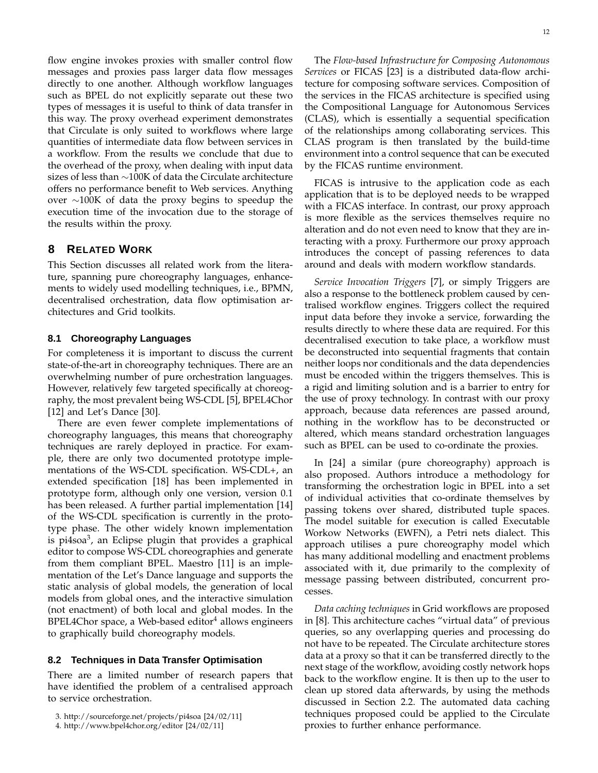flow engine invokes proxies with smaller control flow messages and proxies pass larger data flow messages directly to one another. Although workflow languages such as BPEL do not explicitly separate out these two types of messages it is useful to think of data transfer in this way. The proxy overhead experiment demonstrates that Circulate is only suited to workflows where large quantities of intermediate data flow between services in a workflow. From the results we conclude that due to the overhead of the proxy, when dealing with input data sizes of less than ∼100K of data the Circulate architecture offers no performance benefit to Web services. Anything over ∼100K of data the proxy begins to speedup the execution time of the invocation due to the storage of the results within the proxy.

# **8 RELATED WORK**

This Section discusses all related work from the literature, spanning pure choreography languages, enhancements to widely used modelling techniques, i.e., BPMN, decentralised orchestration, data flow optimisation architectures and Grid toolkits.

## **8.1 Choreography Languages**

For completeness it is important to discuss the current state-of-the-art in choreography techniques. There are an overwhelming number of pure orchestration languages. However, relatively few targeted specifically at choreography, the most prevalent being WS-CDL [5], BPEL4Chor [12] and Let's Dance [30].

There are even fewer complete implementations of choreography languages, this means that choreography techniques are rarely deployed in practice. For example, there are only two documented prototype implementations of the WS-CDL specification. WS-CDL+, an extended specification [18] has been implemented in prototype form, although only one version, version 0.1 has been released. A further partial implementation [14] of the WS-CDL specification is currently in the prototype phase. The other widely known implementation is pi4soa<sup>3</sup>, an Eclipse plugin that provides a graphical editor to compose WS-CDL choreographies and generate from them compliant BPEL. Maestro [11] is an implementation of the Let's Dance language and supports the static analysis of global models, the generation of local models from global ones, and the interactive simulation (not enactment) of both local and global modes. In the  $BPEL4Chor space, a Web-based editor<sup>4</sup> allows engineers$ to graphically build choreography models.

#### **8.2 Techniques in Data Transfer Optimisation**

There are a limited number of research papers that have identified the problem of a centralised approach to service orchestration.

12

The *Flow-based Infrastructure for Composing Autonomous Services* or FICAS [23] is a distributed data-flow architecture for composing software services. Composition of the services in the FICAS architecture is specified using the Compositional Language for Autonomous Services (CLAS), which is essentially a sequential specification of the relationships among collaborating services. This CLAS program is then translated by the build-time environment into a control sequence that can be executed by the FICAS runtime environment.

FICAS is intrusive to the application code as each application that is to be deployed needs to be wrapped with a FICAS interface. In contrast, our proxy approach is more flexible as the services themselves require no alteration and do not even need to know that they are interacting with a proxy. Furthermore our proxy approach introduces the concept of passing references to data around and deals with modern workflow standards.

*Service Invocation Triggers* [7], or simply Triggers are also a response to the bottleneck problem caused by centralised workflow engines. Triggers collect the required input data before they invoke a service, forwarding the results directly to where these data are required. For this decentralised execution to take place, a workflow must be deconstructed into sequential fragments that contain neither loops nor conditionals and the data dependencies must be encoded within the triggers themselves. This is a rigid and limiting solution and is a barrier to entry for the use of proxy technology. In contrast with our proxy approach, because data references are passed around, nothing in the workflow has to be deconstructed or altered, which means standard orchestration languages such as BPEL can be used to co-ordinate the proxies.

In [24] a similar (pure choreography) approach is also proposed. Authors introduce a methodology for transforming the orchestration logic in BPEL into a set of individual activities that co-ordinate themselves by passing tokens over shared, distributed tuple spaces. The model suitable for execution is called Executable Workow Networks (EWFN), a Petri nets dialect. This approach utilises a pure choreography model which has many additional modelling and enactment problems associated with it, due primarily to the complexity of message passing between distributed, concurrent processes.

*Data caching techniques* in Grid workflows are proposed in [8]. This architecture caches "virtual data" of previous queries, so any overlapping queries and processing do not have to be repeated. The Circulate architecture stores data at a proxy so that it can be transferred directly to the next stage of the workflow, avoiding costly network hops back to the workflow engine. It is then up to the user to clean up stored data afterwards, by using the methods discussed in Section 2.2. The automated data caching techniques proposed could be applied to the Circulate proxies to further enhance performance.

<sup>3.</sup> http://sourceforge.net/projects/pi4soa [24/02/11]

<sup>4.</sup> http://www.bpel4chor.org/editor [24/02/11]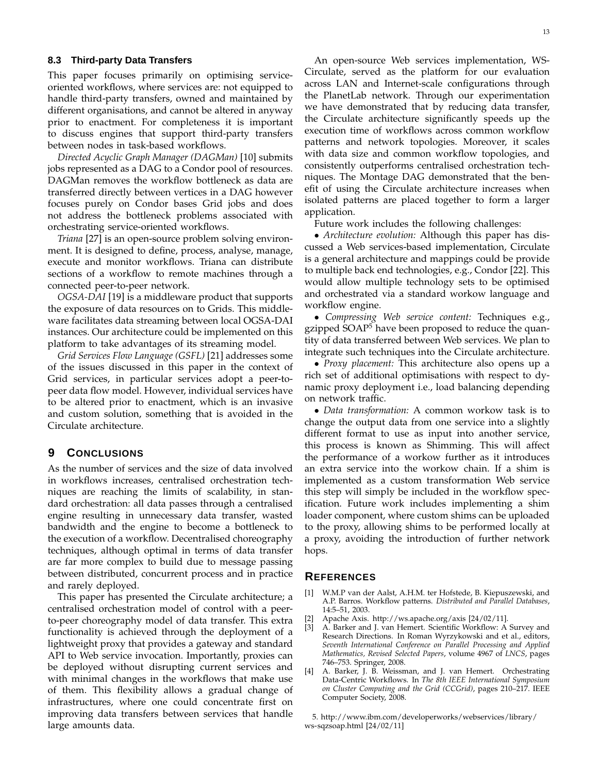#### **8.3 Third-party Data Transfers**

This paper focuses primarily on optimising serviceoriented workflows, where services are: not equipped to handle third-party transfers, owned and maintained by different organisations, and cannot be altered in anyway prior to enactment. For completeness it is important to discuss engines that support third-party transfers between nodes in task-based workflows.

*Directed Acyclic Graph Manager (DAGMan)* [10] submits jobs represented as a DAG to a Condor pool of resources. DAGMan removes the workflow bottleneck as data are transferred directly between vertices in a DAG however focuses purely on Condor bases Grid jobs and does not address the bottleneck problems associated with orchestrating service-oriented workflows.

*Triana* [27] is an open-source problem solving environment. It is designed to define, process, analyse, manage, execute and monitor workflows. Triana can distribute sections of a workflow to remote machines through a connected peer-to-peer network.

*OGSA-DAI* [19] is a middleware product that supports the exposure of data resources on to Grids. This middleware facilitates data streaming between local OGSA-DAI instances. Our architecture could be implemented on this platform to take advantages of its streaming model.

*Grid Services Flow Language (GSFL)* [21] addresses some of the issues discussed in this paper in the context of Grid services, in particular services adopt a peer-topeer data flow model. However, individual services have to be altered prior to enactment, which is an invasive and custom solution, something that is avoided in the Circulate architecture.

# **9 CONCLUSIONS**

As the number of services and the size of data involved in workflows increases, centralised orchestration techniques are reaching the limits of scalability, in standard orchestration: all data passes through a centralised engine resulting in unnecessary data transfer, wasted bandwidth and the engine to become a bottleneck to the execution of a workflow. Decentralised choreography techniques, although optimal in terms of data transfer are far more complex to build due to message passing between distributed, concurrent process and in practice and rarely deployed.

This paper has presented the Circulate architecture; a centralised orchestration model of control with a peerto-peer choreography model of data transfer. This extra functionality is achieved through the deployment of a lightweight proxy that provides a gateway and standard API to Web service invocation. Importantly, proxies can be deployed without disrupting current services and with minimal changes in the workflows that make use of them. This flexibility allows a gradual change of infrastructures, where one could concentrate first on improving data transfers between services that handle large amounts data.

An open-source Web services implementation, WS-Circulate, served as the platform for our evaluation across LAN and Internet-scale configurations through the PlanetLab network. Through our experimentation we have demonstrated that by reducing data transfer, the Circulate architecture significantly speeds up the execution time of workflows across common workflow patterns and network topologies. Moreover, it scales with data size and common workflow topologies, and consistently outperforms centralised orchestration techniques. The Montage DAG demonstrated that the benefit of using the Circulate architecture increases when isolated patterns are placed together to form a larger application.

Future work includes the following challenges:

• *Architecture evolution:* Although this paper has discussed a Web services-based implementation, Circulate is a general architecture and mappings could be provide to multiple back end technologies, e.g., Condor [22]. This would allow multiple technology sets to be optimised and orchestrated via a standard workow language and workflow engine.

• *Compressing Web service content:* Techniques e.g., gzipped SOAP<sup>5</sup> have been proposed to reduce the quantity of data transferred between Web services. We plan to integrate such techniques into the Circulate architecture.

• *Proxy placement:* This architecture also opens up a rich set of additional optimisations with respect to dynamic proxy deployment i.e., load balancing depending on network traffic.

• *Data transformation:* A common workow task is to change the output data from one service into a slightly different format to use as input into another service, this process is known as Shimming. This will affect the performance of a workow further as it introduces an extra service into the workow chain. If a shim is implemented as a custom transformation Web service this step will simply be included in the workflow specification. Future work includes implementing a shim loader component, where custom shims can be uploaded to the proxy, allowing shims to be performed locally at a proxy, avoiding the introduction of further network hops.

#### **REFERENCES**

- [1] W.M.P van der Aalst, A.H.M. ter Hofstede, B. Kiepuszewski, and A.P. Barros. Workflow patterns. *Distributed and Parallel Databases*, 14:5–51, 2003.
- [2] Apache Axis. http://ws.apache.org/axis [24/02/11].
- [3] A. Barker and J. van Hemert. Scientific Workflow: A Survey and Research Directions. In Roman Wyrzykowski and et al., editors, *Seventh International Conference on Parallel Processing and Applied Mathematics, Revised Selected Papers*, volume 4967 of *LNCS*, pages 746–753. Springer, 2008.
- [4] A. Barker, J. B. Weissman, and J. van Hemert. Orchestrating Data-Centric Workflows. In *The 8th IEEE International Symposium on Cluster Computing and the Grid (CCGrid)*, pages 210–217. IEEE Computer Society, 2008.

5. http://www.ibm.com/developerworks/webservices/library/ ws-sqzsoap.html [24/02/11]